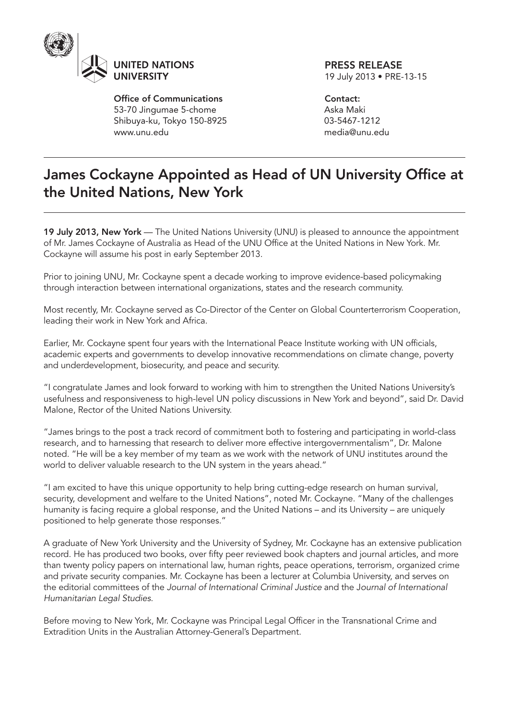

Office of Communications 53-70 Jingumae 5-chome Shibuya-ku, Tokyo 150-8925 www.unu.edu

PRESS RELEASE 19 July 2013 • PRE-13-15

Contact: Aska Maki 03-5467-1212 media@unu.edu

## James Cockayne Appointed as Head of UN University Office at the United Nations, New York

19 July 2013, New York — The United Nations University (UNU) is pleased to announce the appointment of Mr. James Cockayne of Australia as Head of the UNU Office at the United Nations in New York. Mr. Cockayne will assume his post in early September 2013.

Prior to joining UNU, Mr. Cockayne spent a decade working to improve evidence-based policymaking through interaction between international organizations, states and the research community.

Most recently, Mr. Cockayne served as Co-Director of the Center on Global Counterterrorism Cooperation, leading their work in New York and Africa.

Earlier, Mr. Cockayne spent four years with the International Peace Institute working with UN officials, academic experts and governments to develop innovative recommendations on climate change, poverty and underdevelopment, biosecurity, and peace and security.

"I congratulate James and look forward to working with him to strengthen the United Nations University's usefulness and responsiveness to high-level UN policy discussions in New York and beyond", said Dr. David Malone, Rector of the United Nations University.

"James brings to the post a track record of commitment both to fostering and participating in world-class research, and to harnessing that research to deliver more effective intergovernmentalism", Dr. Malone noted. "He will be a key member of my team as we work with the network of UNU institutes around the world to deliver valuable research to the UN system in the years ahead."

"I am excited to have this unique opportunity to help bring cutting-edge research on human survival, security, development and welfare to the United Nations", noted Mr. Cockayne. "Many of the challenges humanity is facing require a global response, and the United Nations – and its University – are uniquely positioned to help generate those responses."

A graduate of New York University and the University of Sydney, Mr. Cockayne has an extensive publication record. He has produced two books, over fifty peer reviewed book chapters and journal articles, and more than twenty policy papers on international law, human rights, peace operations, terrorism, organized crime and private security companies. Mr. Cockayne has been a lecturer at Columbia University, and serves on the editorial committees of the *Journal of International Criminal Justice* and the J*ournal of International Humanitarian Legal Studies*.

Before moving to New York, Mr. Cockayne was Principal Legal Officer in the Transnational Crime and Extradition Units in the Australian Attorney-General's Department.